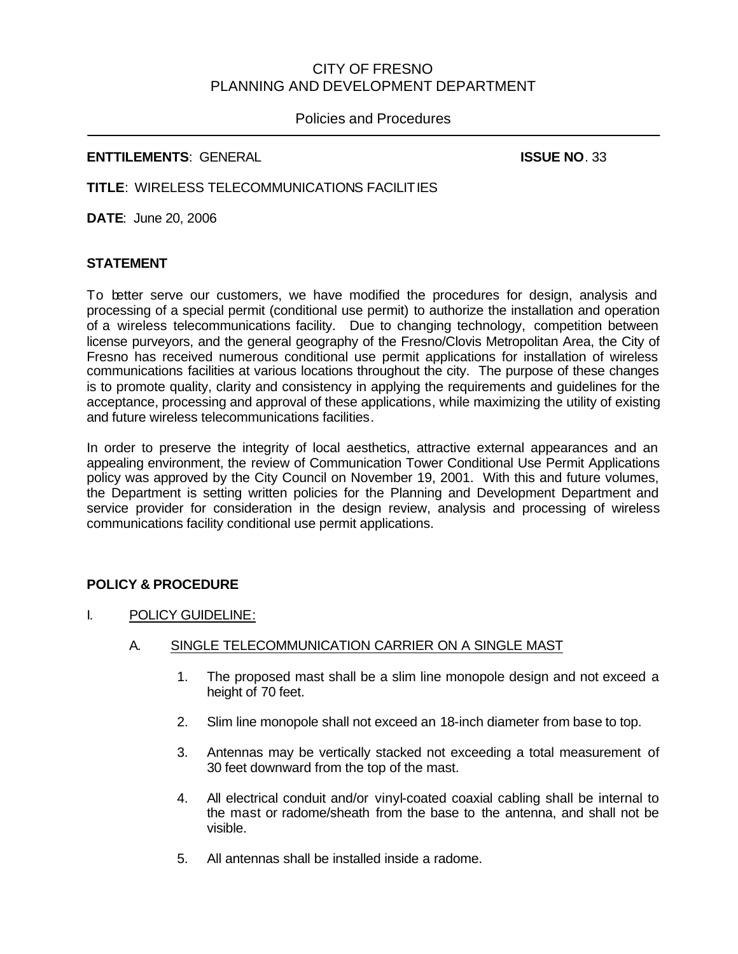# CITY OF FRESNO PLANNING AND DEVELOPMENT DEPARTMENT

## Policies and Procedures

#### **ENTTILEMENTS**: GENERAL **ISSUE NO**. 33

**TITLE**: WIRELESS TELECOMMUNICATIONS FACILITIES

**DATE**: June 20, 2006

## **STATEMENT**

To better serve our customers, we have modified the procedures for design, analysis and processing of a special permit (conditional use permit) to authorize the installation and operation of a wireless telecommunications facility. Due to changing technology, competition between license purveyors, and the general geography of the Fresno/Clovis Metropolitan Area, the City of Fresno has received numerous conditional use permit applications for installation of wireless communications facilities at various locations throughout the city. The purpose of these changes is to promote quality, clarity and consistency in applying the requirements and guidelines for the acceptance, processing and approval of these applications, while maximizing the utility of existing and future wireless telecommunications facilities.

In order to preserve the integrity of local aesthetics, attractive external appearances and an appealing environment, the review of Communication Tower Conditional Use Permit Applications policy was approved by the City Council on November 19, 2001. With this and future volumes, the Department is setting written policies for the Planning and Development Department and service provider for consideration in the design review, analysis and processing of wireless communications facility conditional use permit applications.

## **POLICY & PROCEDURE**

I. POLICY GUIDELINE:

## A. SINGLE TELECOMMUNICATION CARRIER ON A SINGLE MAST

- 1. The proposed mast shall be a slim line monopole design and not exceed a height of 70 feet.
- 2. Slim line monopole shall not exceed an 18-inch diameter from base to top.
- 3. Antennas may be vertically stacked not exceeding a total measurement of 30 feet downward from the top of the mast.
- 4. All electrical conduit and/or vinyl-coated coaxial cabling shall be internal to the mast or radome/sheath from the base to the antenna, and shall not be visible.
- 5. All antennas shall be installed inside a radome.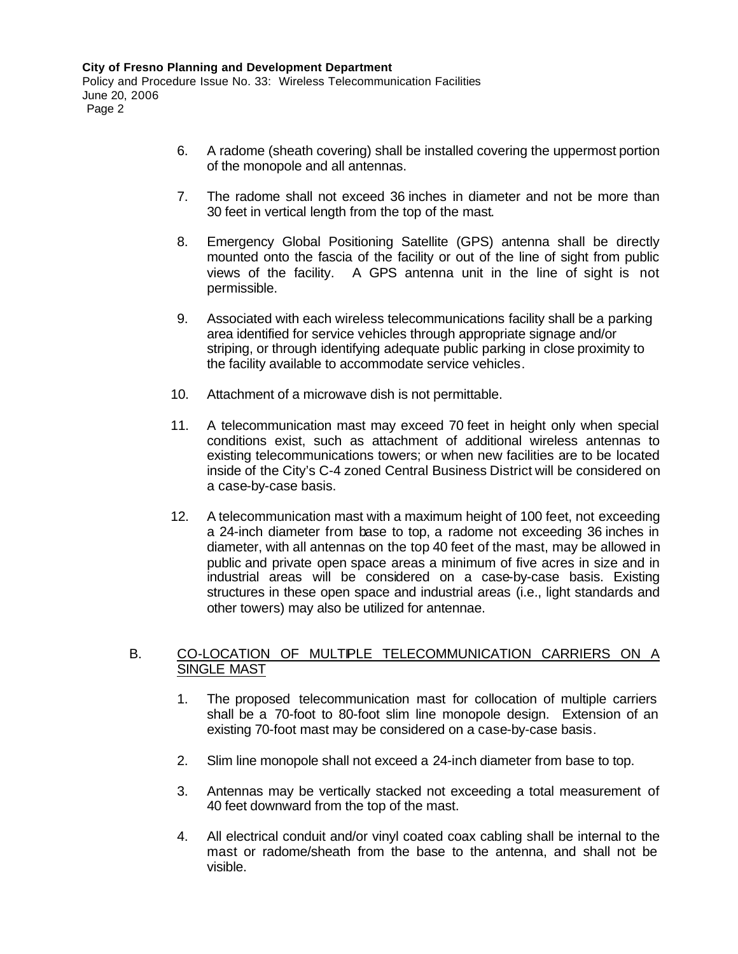- 6. A radome (sheath covering) shall be installed covering the uppermost portion of the monopole and all antennas.
- 7. The radome shall not exceed 36 inches in diameter and not be more than 30 feet in vertical length from the top of the mast.
- 8. Emergency Global Positioning Satellite (GPS) antenna shall be directly mounted onto the fascia of the facility or out of the line of sight from public views of the facility. A GPS antenna unit in the line of sight is not permissible.
- 9. Associated with each wireless telecommunications facility shall be a parking area identified for service vehicles through appropriate signage and/or striping, or through identifying adequate public parking in close proximity to the facility available to accommodate service vehicles.
- 10. Attachment of a microwave dish is not permittable.
- 11. A telecommunication mast may exceed 70 feet in height only when special conditions exist, such as attachment of additional wireless antennas to existing telecommunications towers; or when new facilities are to be located inside of the City's C-4 zoned Central Business District will be considered on a case-by-case basis.
- 12. A telecommunication mast with a maximum height of 100 feet, not exceeding a 24-inch diameter from base to top, a radome not exceeding 36 inches in diameter, with all antennas on the top 40 feet of the mast, may be allowed in public and private open space areas a minimum of five acres in size and in industrial areas will be considered on a case-by-case basis. Existing structures in these open space and industrial areas (i.e., light standards and other towers) may also be utilized for antennae.

#### B. CO-LOCATION OF MULTIPLE TELECOMMUNICATION CARRIERS ON A SINGLE MAST

- 1. The proposed telecommunication mast for collocation of multiple carriers shall be a 70-foot to 80-foot slim line monopole design. Extension of an existing 70-foot mast may be considered on a case-by-case basis.
- 2. Slim line monopole shall not exceed a 24-inch diameter from base to top.
- 3. Antennas may be vertically stacked not exceeding a total measurement of 40 feet downward from the top of the mast.
- 4. All electrical conduit and/or vinyl coated coax cabling shall be internal to the mast or radome/sheath from the base to the antenna, and shall not be visible.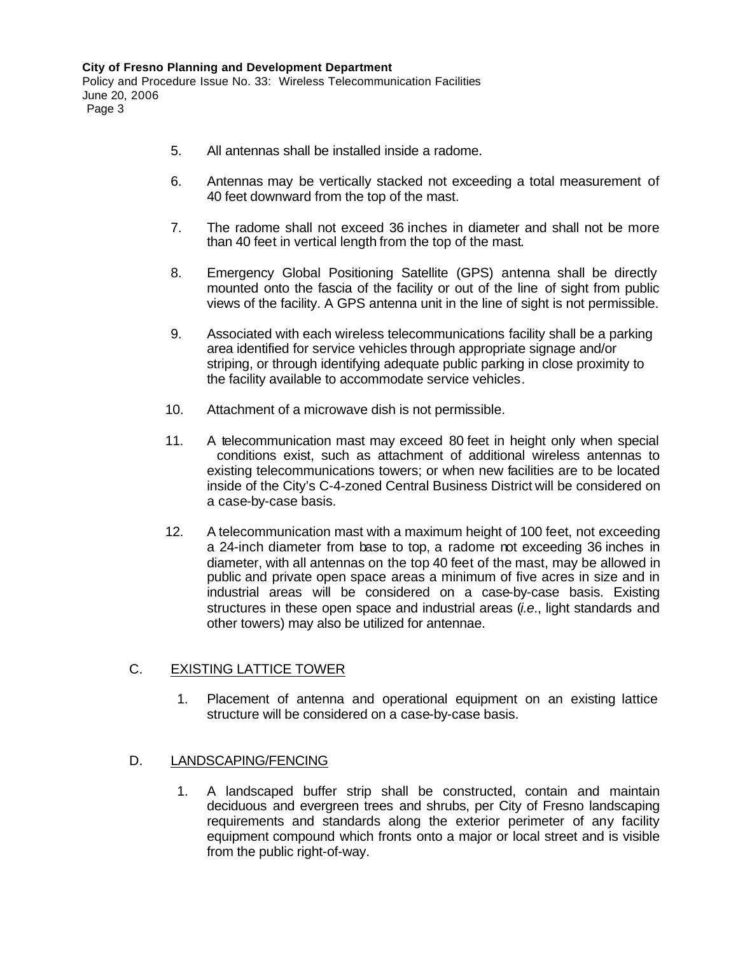- 5. All antennas shall be installed inside a radome.
- 6. Antennas may be vertically stacked not exceeding a total measurement of 40 feet downward from the top of the mast.
- 7. The radome shall not exceed 36 inches in diameter and shall not be more than 40 feet in vertical length from the top of the mast.
- 8. Emergency Global Positioning Satellite (GPS) antenna shall be directly mounted onto the fascia of the facility or out of the line of sight from public views of the facility. A GPS antenna unit in the line of sight is not permissible.
- 9. Associated with each wireless telecommunications facility shall be a parking area identified for service vehicles through appropriate signage and/or striping, or through identifying adequate public parking in close proximity to the facility available to accommodate service vehicles.
- 10. Attachment of a microwave dish is not permissible.
- 11. A telecommunication mast may exceed 80 feet in height only when special conditions exist, such as attachment of additional wireless antennas to existing telecommunications towers; or when new facilities are to be located inside of the City's C-4-zoned Central Business District will be considered on a case-by-case basis.
- 12. A telecommunication mast with a maximum height of 100 feet, not exceeding a 24-inch diameter from base to top, a radome not exceeding 36 inches in diameter, with all antennas on the top 40 feet of the mast, may be allowed in public and private open space areas a minimum of five acres in size and in industrial areas will be considered on a case-by-case basis. Existing structures in these open space and industrial areas (*i.e*., light standards and other towers) may also be utilized for antennae.

## C. EXISTING LATTICE TOWER

1. Placement of antenna and operational equipment on an existing lattice structure will be considered on a case-by-case basis.

## D. LANDSCAPING/FENCING

1. A landscaped buffer strip shall be constructed, contain and maintain deciduous and evergreen trees and shrubs, per City of Fresno landscaping requirements and standards along the exterior perimeter of any facility equipment compound which fronts onto a major or local street and is visible from the public right-of-way.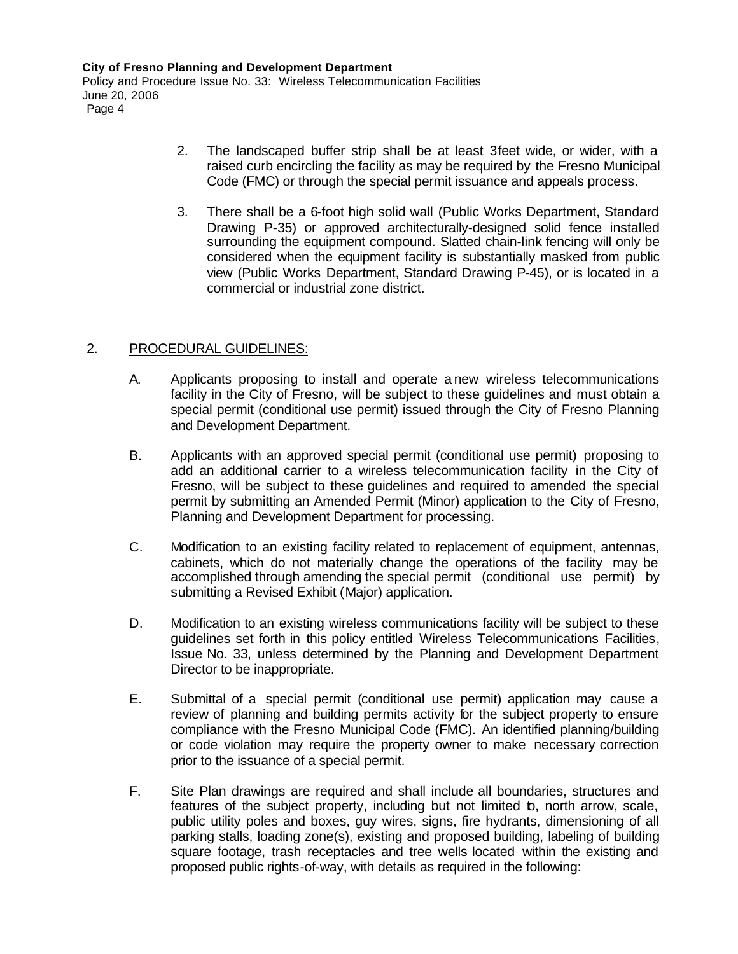**City of Fresno Planning and Development Department** Policy and Procedure Issue No. 33: Wireless Telecommunication Facilities June 20, 2006 Page 4

- 2. The landscaped buffer strip shall be at least 3feet wide, or wider, with a raised curb encircling the facility as may be required by the Fresno Municipal Code (FMC) or through the special permit issuance and appeals process.
- 3. There shall be a 6-foot high solid wall (Public Works Department, Standard Drawing P-35) or approved architecturally-designed solid fence installed surrounding the equipment compound. Slatted chain-link fencing will only be considered when the equipment facility is substantially masked from public view (Public Works Department, Standard Drawing P-45), or is located in a commercial or industrial zone district.

## 2. PROCEDURAL GUIDELINES:

- A. Applicants proposing to install and operate a new wireless telecommunications facility in the City of Fresno, will be subject to these guidelines and must obtain a special permit (conditional use permit) issued through the City of Fresno Planning and Development Department.
- B. Applicants with an approved special permit (conditional use permit) proposing to add an additional carrier to a wireless telecommunication facility in the City of Fresno, will be subject to these guidelines and required to amended the special permit by submitting an Amended Permit (Minor) application to the City of Fresno, Planning and Development Department for processing.
- C. Modification to an existing facility related to replacement of equipment, antennas, cabinets, which do not materially change the operations of the facility may be accomplished through amending the special permit (conditional use permit) by submitting a Revised Exhibit (Major) application.
- D. Modification to an existing wireless communications facility will be subject to these guidelines set forth in this policy entitled Wireless Telecommunications Facilities, Issue No. 33, unless determined by the Planning and Development Department Director to be inappropriate.
- E. Submittal of a special permit (conditional use permit) application may cause a review of planning and building permits activity for the subject property to ensure compliance with the Fresno Municipal Code (FMC). An identified planning/building or code violation may require the property owner to make necessary correction prior to the issuance of a special permit.
- F. Site Plan drawings are required and shall include all boundaries, structures and features of the subject property, including but not limited **b**, north arrow, scale, public utility poles and boxes, guy wires, signs, fire hydrants, dimensioning of all parking stalls, loading zone(s), existing and proposed building, labeling of building square footage, trash receptacles and tree wells located within the existing and proposed public rights-of-way, with details as required in the following: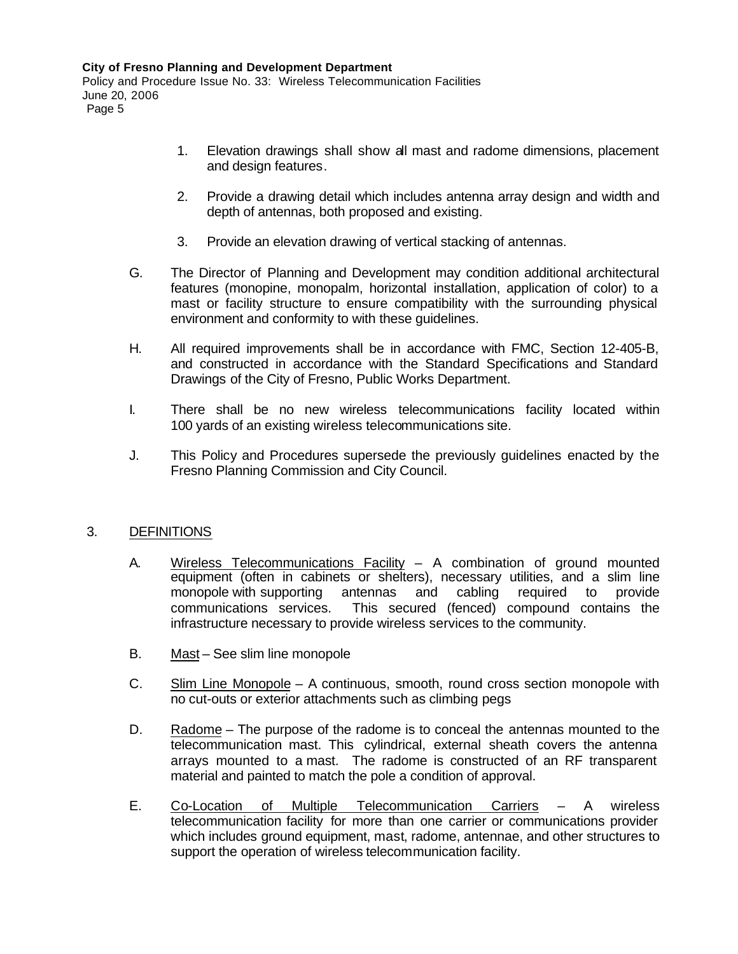- 1. Elevation drawings shall show all mast and radome dimensions, placement and design features.
- 2. Provide a drawing detail which includes antenna array design and width and depth of antennas, both proposed and existing.
- 3. Provide an elevation drawing of vertical stacking of antennas.
- G. The Director of Planning and Development may condition additional architectural features (monopine, monopalm, horizontal installation, application of color) to a mast or facility structure to ensure compatibility with the surrounding physical environment and conformity to with these guidelines.
- H. All required improvements shall be in accordance with FMC, Section 12-405-B, and constructed in accordance with the Standard Specifications and Standard Drawings of the City of Fresno, Public Works Department.
- I. There shall be no new wireless telecommunications facility located within 100 yards of an existing wireless telecommunications site.
- J. This Policy and Procedures supersede the previously guidelines enacted by the Fresno Planning Commission and City Council.

## 3. DEFINITIONS

- A. Wireless Telecommunications Facility A combination of ground mounted equipment (often in cabinets or shelters), necessary utilities, and a slim line monopole with supporting antennas and cabling required to provide communications services. This secured (fenced) compound contains the infrastructure necessary to provide wireless services to the community.
- B. Mast See slim line monopole
- C. Slim Line Monopole A continuous, smooth, round cross section monopole with no cut-outs or exterior attachments such as climbing pegs
- D. Radome The purpose of the radome is to conceal the antennas mounted to the telecommunication mast. This cylindrical, external sheath covers the antenna arrays mounted to a mast. The radome is constructed of an RF transparent material and painted to match the pole a condition of approval.
- E. Co-Location of Multiple Telecommunication Carriers A wireless telecommunication facility for more than one carrier or communications provider which includes ground equipment, mast, radome, antennae, and other structures to support the operation of wireless telecommunication facility.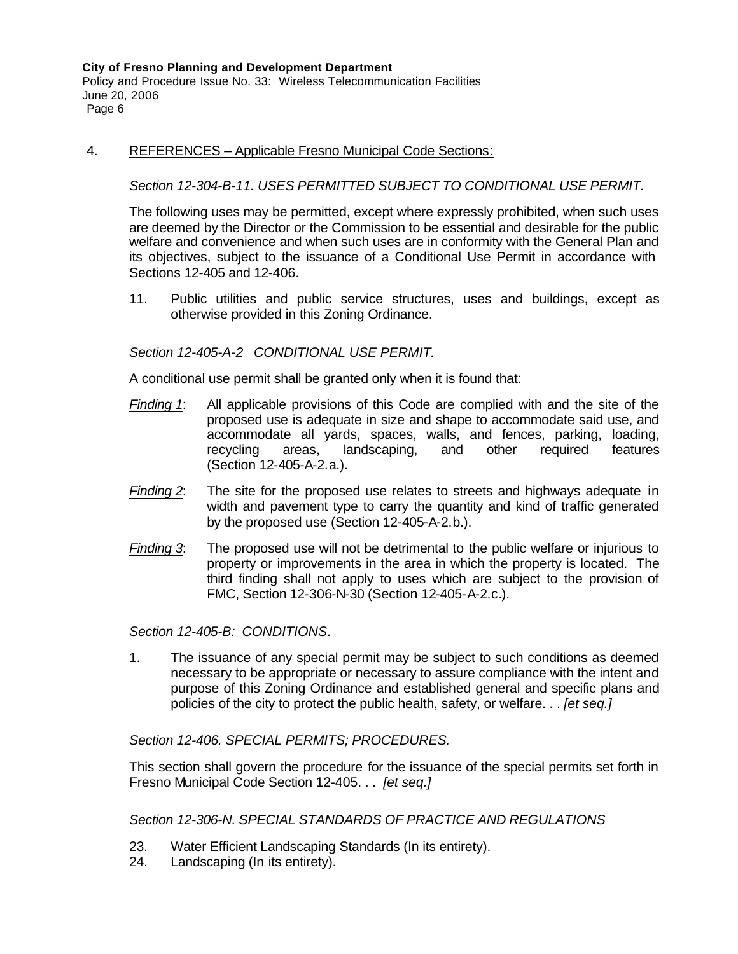Policy and Procedure Issue No. 33: Wireless Telecommunication Facilities June 20, 2006 Page 6

#### 4. REFERENCES – Applicable Fresno Municipal Code Sections:

#### *Section 12-304-B-11. USES PERMITTED SUBJECT TO CONDITIONAL USE PERMIT.*

The following uses may be permitted, except where expressly prohibited, when such uses are deemed by the Director or the Commission to be essential and desirable for the public welfare and convenience and when such uses are in conformity with the General Plan and its objectives, subject to the issuance of a Conditional Use Permit in accordance with Sections 12-405 and 12-406.

11. Public utilities and public service structures, uses and buildings, except as otherwise provided in this Zoning Ordinance.

#### *Section 12-405-A-2 CONDITIONAL USE PERMIT.*

A conditional use permit shall be granted only when it is found that:

- *Finding 1*: All applicable provisions of this Code are complied with and the site of the proposed use is adequate in size and shape to accommodate said use, and accommodate all yards, spaces, walls, and fences, parking, loading, recycling areas, landscaping, and other required features (Section 12-405-A-2.a.).
- *Finding 2*: The site for the proposed use relates to streets and highways adequate in width and pavement type to carry the quantity and kind of traffic generated by the proposed use (Section 12-405-A-2.b.).
- *Finding 3*: The proposed use will not be detrimental to the public welfare or injurious to property or improvements in the area in which the property is located. The third finding shall not apply to uses which are subject to the provision of FMC, Section 12-306-N-30 (Section 12-405-A-2.c.).

*Section 12-405-B: CONDITIONS*.

1. The issuance of any special permit may be subject to such conditions as deemed necessary to be appropriate or necessary to assure compliance with the intent and purpose of this Zoning Ordinance and established general and specific plans and policies of the city to protect the public health, safety, or welfare. . . *[et seq.]*

*Section 12-406. SPECIAL PERMITS; PROCEDURES.*

This section shall govern the procedure for the issuance of the special permits set forth in Fresno Municipal Code Section 12-405. . . *[et seq.]*

*Section 12-306-N. SPECIAL STANDARDS OF PRACTICE AND REGULATIONS*

- 23. Water Efficient Landscaping Standards (In its entirety).
- 24. Landscaping (In its entirety).